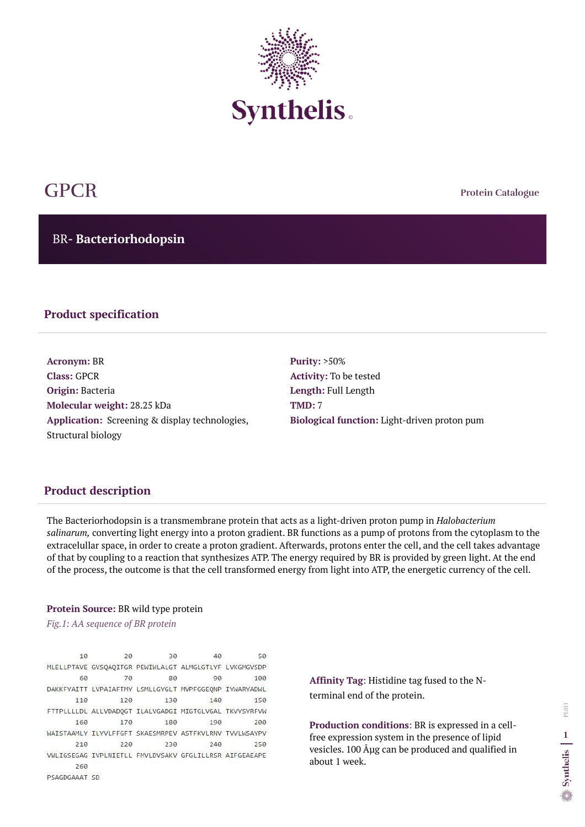**Protein Catalogue**

BR**- Bacteriorhodopsin** 



# GPCR

## **Product specification**

**Acronym:** BR **Class:** GPCR **Origin:** Bacteria **Molecular weight:** 28.25 kDa **Application:** Screening & display technologies, Structural biology

**Purity:** >50% **Activity:** To be tested **Length:** Full Length **TMD:** 7 **Biological function:** Light-driven proton pum

### **Product description**

The Bacteriorhodopsin is a transmembrane protein that acts as a light-driven proton pump in *Halobacterium salinarum,* converting light energy into a proton gradient. BR functions as a pump of protons from the cytoplasm to the extracelullar space, in order to create a proton gradient. Afterwards, protons enter the cell, and the cell takes advantage of that by coupling to a reaction that synthesizes ATP. The energy required by BR is provided by green light. At the end of the process, the outcome is that the cell transformed energy from light into ATP, the energetic currency of the cell.

#### **Protein Source:** BR wild type protein

*Fig.1: AA sequence of BR protein*

10 20 30 40 50 MLELLPTAVE GVSQAQITGR PEWIWLALGT ALMGLGTLYF LVKGMGVSDP 60 70 80 90 100 DAKKFYAITT LVPAIAFTMY LSMLLGYGLT MVPFGGEQNP IYWARYADWL 110 120 130 140 150 FTTPLLLLDL ALLVDADQGT ILALVGADGI MIGTGLVGAL TKVYSYRFVW 160 170 180 190 200 WAISTAAMLY ILYVLFFGFT SKAESMRPEV ASTFKVLRNV TVVLWSAYPV 210 220 230 240 250 VWLIGSEGAG IVPLNIETLL FMVLDVSAKV GFGLILLRSR AIFGEAEAPE 260 PSAGDGAAAT SD

**Affinity Tag**: Histidine tag fused to the Nterminal end of the protein.

**Production conditions**: BR is expressed in a cellfree expression system in the presence of lipid vesicles. 100  $\hat{A}$ µg can be produced and qualified in about 1 week.